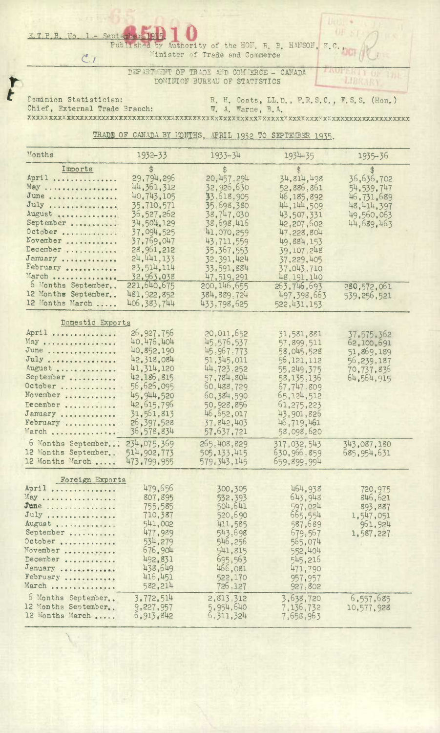ETPE No. 1 - September 1915. Nuthority of the HON. R. B. HANSON, K.C.,

Winister of Trade and Commerce

DEPARTIENT OF TRADE AND COMMERCE - CANADA DOMINION BUREAU OF STATISTICS

Dominion Statistician: Chief, External Trade Branch:

 $C_{\cdot}$ 

R. H. Coats, LL.D., F.R.S.C., F.S.S. (Hon.)<br>W. A. Warne, B.A.

**Uttli** 

Œ

LIBRARY

TRADI OF CANADA BY MONTHS, APRIL 1932 TO SEPTE BER 1935.

| Months              | 1932-33       | $1933 - 34$                    | 1934-35                            | 1935-36                                   |  |  |  |  |
|---------------------|---------------|--------------------------------|------------------------------------|-------------------------------------------|--|--|--|--|
| Imports<br>April    | 29,794,296    | $\mathfrak{F}$<br>20, 457, 294 | $\ddot{\mathcal{L}}$<br>34,814,498 | $\mathbf{\hat{\mathbf{S}}}$<br>36,636,702 |  |  |  |  |
| May                 | 44, 361, 312  | 32,926,630                     | 52,886,861                         | 54.539.747                                |  |  |  |  |
| June                | 40.743.105    | 33,618,905                     | 46,185,892                         | 46,731,689                                |  |  |  |  |
| July                | 35,710,571    | 35.698,380                     | 44, 144, 509                       | 48, 414, 397                              |  |  |  |  |
| August              | 36,527,262    | 38,747,030                     | 43,507,331                         | 49,560,063                                |  |  |  |  |
| September           | 34,504,129    | 38,698,416                     | 42,207,602                         | 44.689.463                                |  |  |  |  |
| October             | 37,094,525    | 41,070,259                     | 47,228,804                         |                                           |  |  |  |  |
| November            | 37,769,047    | 43.711.559                     | 49,884,153                         |                                           |  |  |  |  |
| December            | 28,961,212    | 35,367,553                     | 39,107,248                         |                                           |  |  |  |  |
| January             | 24, 441, 133  | 32, 391, 424                   | 37,229,405                         |                                           |  |  |  |  |
| February            | 23,514,114    | 33,591,884                     | 37,043,710                         |                                           |  |  |  |  |
| March               | 32,963,038    | 47,519,291                     | 48, 191, 140                       |                                           |  |  |  |  |
| 6 Months September  | 221,640,675   | 200, 146, 655                  | 263.746.693                        | 280, 572, 061                             |  |  |  |  |
| 12 Months September | 481, 922, 852 | 384, 889, 724                  | 497,398,663                        | 539,256,521                               |  |  |  |  |
| 12 Months March     | 406, 383, 744 | 433,798,625                    | 522, 431, 153                      |                                           |  |  |  |  |
| Domestic Exports    |               |                                |                                    |                                           |  |  |  |  |
| April               | 26,927,756    | 20,011,652                     | 31,581,881                         | 37, 575, 362                              |  |  |  |  |
| May                 | 40, 476, 404  | 45,576.537                     | 57,899,511                         | 62,100,691                                |  |  |  |  |
| June                | 40,852,190    | 45.967.773                     | 58,045,528                         | 51,869,189                                |  |  |  |  |
| July                | 42,318,084    | 51, 345, 011                   | 56, 121, 112                       | 56,239,187                                |  |  |  |  |
| August              | 41, 314, 120  | 44,723.252                     | 55, 249, 375                       | 70,737,836                                |  |  |  |  |
| September           | 42,186,815    | 57,784,804                     | 58,135,136                         | 64,564,915                                |  |  |  |  |
| October             | 56,626,095    | 60,488.729                     | 67,747.809                         |                                           |  |  |  |  |
| November            | 45,944,520    | 60,384,590                     | 65, 124, 512                       |                                           |  |  |  |  |
| December            | 42, 615, 796  | 50, 928, 856                   | 61,275,223                         |                                           |  |  |  |  |
| January             | 31,561,813    | 46,652,017                     | 43,901,826                         |                                           |  |  |  |  |
| February            | 26, 397, 528  | 37.842,403                     | 46,719,461                         |                                           |  |  |  |  |
| March               | 36,578,834    | 57,637,721                     | 58,098,620                         |                                           |  |  |  |  |
| 6 Months September  | 234,075,369   | 265.408,829                    | 317,032,543                        | 343.087.180                               |  |  |  |  |
| 12 Months September | 514,902,773   | 505.133,415                    | 630,966.859                        | 685,954,631                               |  |  |  |  |
| 12 Months March     | 473,799,955   | 579.343.145                    | 659,899,994                        |                                           |  |  |  |  |
| Foreign Exports     |               |                                |                                    |                                           |  |  |  |  |
| April               | 479,656       | 300,305                        | 464.938                            | 720,975                                   |  |  |  |  |
| May                 | 807.895       | 552,393                        | 643.948                            | 846,621                                   |  |  |  |  |
| June                | 755,585       | 504.641                        | 597,024                            | 893,887                                   |  |  |  |  |
| July                | 710,387       | 520.690                        | 665.554                            | 1,547,051                                 |  |  |  |  |
| August              | 541,002       | 411,585                        | 587,689                            | 961,924                                   |  |  |  |  |
| September           | 477,989       | 543.698                        | 679,567                            | 1,587,227                                 |  |  |  |  |
| October             | 534,279       | 546,256                        | 565.074                            |                                           |  |  |  |  |
| November            | 676.904       | 541,815                        | 552,404                            |                                           |  |  |  |  |
| December            | 492,831       | 695.563                        | 545,216                            |                                           |  |  |  |  |
| January             | 438,649       | 466,081                        | 471,790                            |                                           |  |  |  |  |
| February            | 416,451       | 522,170                        | 957,957                            |                                           |  |  |  |  |
| March               | 582.214       | 726.127                        | 927,802                            |                                           |  |  |  |  |
| 6 Months September  | 3,772,514     | 2,813,312                      | 3,638,720                          | 6,557,685                                 |  |  |  |  |
| 12 Months September | 9,227,957     | 5,954.640                      | 7,136,732                          | 10,577,928                                |  |  |  |  |
| 12 Months March     | 6, 913, 842   | 6, 311, 324                    | 7,658,963                          |                                           |  |  |  |  |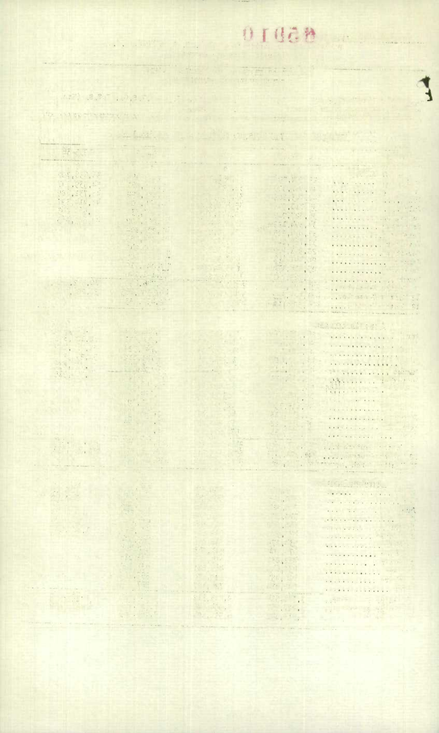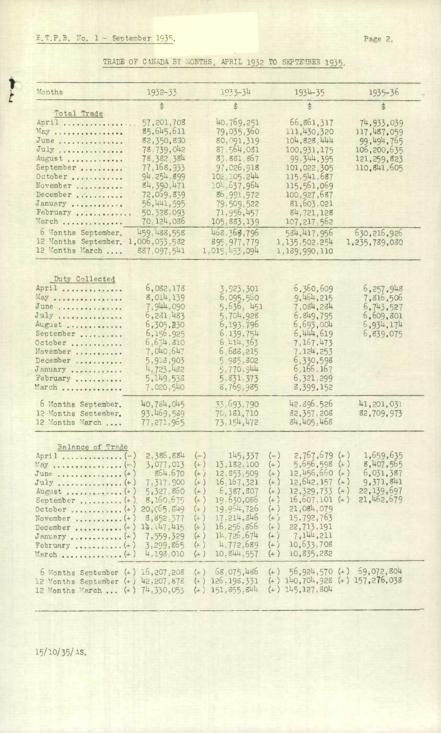Page 2.

TRADE OF CANADA BY MONTHS, APRIL 1932 TO SEPTETBER 1935.

| Months                                                                                                                                                                                                                                                                                                                      | 1932-33                                                                                                                                                                    |                                                                                                          | 1933-34                                                                                                                                                                       |                                                                                                          | 1934-35                                                                                                                                                                                                 | 1935-36                                                                                 |
|-----------------------------------------------------------------------------------------------------------------------------------------------------------------------------------------------------------------------------------------------------------------------------------------------------------------------------|----------------------------------------------------------------------------------------------------------------------------------------------------------------------------|----------------------------------------------------------------------------------------------------------|-------------------------------------------------------------------------------------------------------------------------------------------------------------------------------|----------------------------------------------------------------------------------------------------------|---------------------------------------------------------------------------------------------------------------------------------------------------------------------------------------------------------|-----------------------------------------------------------------------------------------|
|                                                                                                                                                                                                                                                                                                                             | \$                                                                                                                                                                         |                                                                                                          | \$                                                                                                                                                                            |                                                                                                          | $\ddot{\text{F}}$                                                                                                                                                                                       | \$                                                                                      |
| Total Trade<br>April<br>May<br>June<br>July<br>August<br>September<br>October<br>November<br>December<br>January<br>February<br>March                                                                                                                                                                                       | 57,201,708<br>85,645,611<br>82,350,830<br>78.739,042<br>78, 382, 384<br>77, 168, 933<br>94.254.899<br>84, 390, 471<br>72,059.839<br>56,441,595<br>50.328,093<br>70,124,036 |                                                                                                          | 40.769,251<br>79,035,360<br>80,091,319<br>87.564,031<br>83.881.867<br>97,026.918<br>102, 105, 244<br>101, 637, 964<br>86.991.972<br>79,509,522<br>71, 956, 457<br>105,883,139 |                                                                                                          | 66,861,317<br>111,430,320<br>104, 828, 444<br>100, 931, 175<br>99.344,395<br>101,022,305<br>115, 541, 687<br>115,561,069<br>100, 927, 687<br>81,603,021<br>84,721,128<br>107, 217, 562                  | 74,933,039<br>117,487,059<br>99,494,765<br>106,200,635<br>121, 259, 823<br>110, 841.605 |
| 6 Months September.<br>12 Months September.<br>12 Months March                                                                                                                                                                                                                                                              | 459.488.558<br>1,006,053,582<br>887.097.541                                                                                                                                |                                                                                                          | 468.368.796<br>895 977,779<br>1,019,453,094                                                                                                                                   |                                                                                                          | 584, 417.956<br>1, 135, 502, 254<br>1,189,990,110                                                                                                                                                       | 630,216,926<br>1,235,789,080                                                            |
| Duty Collected<br>April<br>May<br>June,<br>July<br>August<br>September<br>October<br>November<br>December<br>January<br>February<br>March                                                                                                                                                                                   | 6,082,178<br>8,014,139<br>7.944.090<br>6,231,483<br>6,305,230<br>6,156,925<br>6,634,810<br>7,040.647<br>$5.9 - 3.903$<br>4,723,482<br>5,149.538<br>7,020,540               |                                                                                                          | 3,923,301<br>6.095.560<br>5,636, 451<br>5,704,928<br>6,193,796<br>6.139.754<br>6.414.363<br>6,688,215<br>5.985.802<br>5.770.944<br>5.831.373<br>8,769,985                     |                                                                                                          | 6,360,609<br>9,464,215<br>7,084,284<br>6.849.795<br>6,693,004<br>6,444,619<br>7.167.473<br>7,124,253<br>6, 330, 598<br>6, 166, 167<br>6,321,299<br>8,399,152                                            | 6, 257, 948<br>7,816,506<br>6,743,527<br>6,609,801<br>6,934,174<br>6,839,075            |
| 6 Months September.<br>12 Months September.<br>12 Yonths March                                                                                                                                                                                                                                                              | 40,784,045<br>93,469,589<br>77,271.965                                                                                                                                     |                                                                                                          | 33.693.790<br>70, 181, 710<br>73, 154, 472                                                                                                                                    |                                                                                                          | 42.896,526<br>82, 357, 208<br>84,405,468                                                                                                                                                                | 41,201,031<br>82,709,973                                                                |
| Balance of Trade<br>April  (-)<br>$MS$ $(\cdot)$<br>June $(+)$<br>$July \dots \dots \dots \dots \dots \ (+)$<br>$August \dots \dots \dots \dots (+)$<br>September $(+)$<br>$October    (*)$<br>$\texttt{November} \dots \dots \dots \dots (+)$<br>December $(+)$<br>January $(+)$<br>February $\ldots$ $(+)$<br>March $(+)$ | 2,386,884<br>3,077,013<br>864.670<br>7, 317, 900<br>5,327.860<br>8,160,675<br>20,055,549<br>8,852.377<br>14, 147, 415<br>7.559.329<br>3,299,865<br>4, 198, 010             | $(-)$<br>$(+)$<br>$(+)$<br>$(+)$<br>$(+)$<br>$(+)$<br>$(+)$<br>$(+)$<br>$(+)$<br>$(+)$<br>$(+)$<br>$(+)$ | 145.337<br>13,182,100<br>12.853.509<br>16, 167, 321<br>6,387,807<br>19,630,086<br>19,954,726<br>17.214,346<br>16, 256, 866<br>14, 726, 674<br>4,772,689<br>10.844.557         | $(-)$<br>$(+)$<br>$(+)$<br>$(+)$<br>$(+)$<br>$(+)$<br>$(+)$<br>$(+)$<br>$(+)$<br>$(+)$<br>$(+)$<br>$(+)$ | $2,767,679$ (+)<br>$5,656,598$ (+)<br>$12,456,650$ (+)<br>$12,642,157$ (+)<br>$12,329,733$ (+)<br>$16,607,101$ (+)<br>21,084,079<br>15.792,763<br>22,713,191<br>7, 144, 211<br>10,633.708<br>10,835,282 | 1,659,635<br>8,407,565<br>6,031,387<br>9,371,841<br>22, 139, 697<br>21,462,679          |
| 6 Months September $(+)$ 16,207,208<br>12 Months September (+) 42,207,878<br>12 Months March  (+) 74,330,053                                                                                                                                                                                                                |                                                                                                                                                                            | $(+)$<br>$(+)$                                                                                           | $(+)$ 68.075,486<br>126.198.331<br>151, 855, 844                                                                                                                              | $(+)$<br>$(+)$                                                                                           | 145, 127, 804                                                                                                                                                                                           | 56,924,570 (+) 59,072,804<br>$(+)$ 140,704,928 (+) 157,276,038                          |

15/10/35/AS.